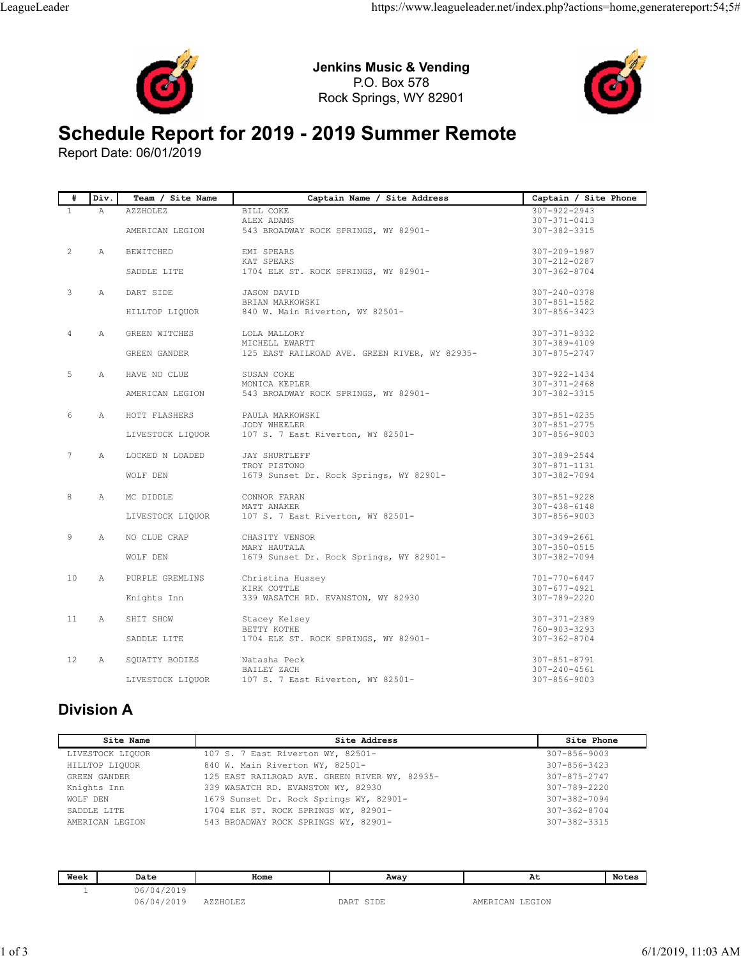



## Schedule Report for 2019 - 2019 Summer Remote

| #                 |                                    |                                   | <b>Jenkins Music &amp; Vending</b>                                            |                                                      |                                                    |              |
|-------------------|------------------------------------|-----------------------------------|-------------------------------------------------------------------------------|------------------------------------------------------|----------------------------------------------------|--------------|
|                   |                                    |                                   | Rock Springs, WY 82901                                                        |                                                      |                                                    |              |
|                   |                                    | Report Date: 06/01/2019           |                                                                               | <b>Schedule Report for 2019 - 2019 Summer Remote</b> |                                                    |              |
|                   | Div                                | Team / Site Name                  |                                                                               | Captain Name / Site Address                          | Captain / Site Phone                               |              |
| $\mathbf{1}$      | Α                                  | AZZHOLEZ<br>AMERICAN LEGION       | BILL COKE<br>ALEX ADAMS                                                       |                                                      | 307-922-2943<br>$307 - 371 - 0413$<br>307-382-3315 |              |
|                   |                                    |                                   |                                                                               | 543 BROADWAY ROCK SPRINGS, WY 82901-                 |                                                    |              |
| 2                 | А                                  | BEWITCHED<br>SADDLE LITE          | EMI SPEARS<br>KAT SPEARS                                                      | 1704 ELK ST. ROCK SPRINGS, WY 82901-                 | 307-209-1987<br>307-212-0287<br>$307 - 362 - 8704$ |              |
| 3                 | Α                                  | DART SIDE                         | JASON DAVID                                                                   |                                                      | 307-240-0378                                       |              |
|                   |                                    | HILLTOP LIQUOR                    | BRIAN MARKOWSKI<br>840 W. Main Riverton, WY 82501-                            |                                                      | 307-851-1582<br>307-856-3423                       |              |
|                   | Α                                  | GREEN WITCHES                     | LOLA MALLORY                                                                  |                                                      | 307-371-8332                                       |              |
|                   |                                    | GREEN GANDER                      | MICHELL EWARTT                                                                | 125 EAST RAILROAD AVE. GREEN RIVER, WY 82935-        | 307-389-4109<br>307-875-2747                       |              |
| 5                 | А                                  | HAVE NO CLUE                      | SUSAN COKE<br>MONICA KEPLER                                                   |                                                      | 307-922-1434<br>$307 - 371 - 2468$                 |              |
|                   |                                    | AMERICAN LEGION                   |                                                                               | 543 BROADWAY ROCK SPRINGS, WY 82901-                 | 307-382-3315                                       |              |
| 6                 | А                                  | HOTT FLASHERS<br>LIVESTOCK LIQUOR | PAULA MARKOWSKI<br><b>JODY WHEELER</b><br>107 S. 7 East Riverton, WY 82501-   |                                                      | $307 - 851 - 4235$<br>307-851-2775<br>307-856-9003 |              |
|                   |                                    |                                   |                                                                               |                                                      |                                                    |              |
|                   | A                                  | LOCKED N LOADED<br>WOLF DEN       | <b>JAY SHURTLEFF</b><br>TROY PISTONO                                          | 1679 Sunset Dr. Rock Springs, WY 82901-              | 307-389-2544<br>307-871-1131<br>307-382-7094       |              |
| 8                 | Α                                  | MC DIDDLE                         | CONNOR FARAN                                                                  |                                                      | $307 - 851 - 9228$                                 |              |
|                   |                                    | LIVESTOCK LIQUOR                  | MATT ANAKER<br>107 S. 7 East Riverton, WY 82501-                              |                                                      | 307-438-6148<br>307-856-9003                       |              |
| 9                 | $\mathbb{A}$                       | NO CLUE CRAP                      | CHASITY VENSOR                                                                |                                                      | 307-349-2661                                       |              |
|                   |                                    | WOLF DEN                          | MARY HAUTALA                                                                  | 1679 Sunset Dr. Rock Springs, WY 82901-              | 307-350-0515<br>307-382-7094                       |              |
| 10                | A                                  | PURPLE GREMLINS                   | Christina Hussey                                                              |                                                      | 701-770-6447                                       |              |
|                   |                                    | Knights Inn                       | KIRK COTTLE<br>339 WASATCH RD. EVANSTON, WY 82930                             |                                                      | $307 - 677 - 4921$<br>307-789-2220                 |              |
| 11                | $\mathbb{A}$                       | SHIT SHOW                         | Stacey Kelsey                                                                 |                                                      | 307-371-2389                                       |              |
|                   |                                    | SADDLE LITE                       | BETTY KOTHE                                                                   | 1704 ELK ST. ROCK SPRINGS, WY 82901-                 | 760-903-3293<br>307-362-8704                       |              |
| $12 \overline{ }$ | $\mathbb{A}$                       | SQUATTY BODIES                    | Natasha Peck                                                                  |                                                      | $307 - 851 - 8791$                                 |              |
|                   |                                    | LIVESTOCK LIQUOR                  | BAILEY ZACH<br>107 S. 7 East Riverton, WY 82501-                              |                                                      | 307-240-4561<br>307-856-9003                       |              |
|                   |                                    |                                   |                                                                               |                                                      |                                                    |              |
|                   | <b>Division A</b>                  |                                   |                                                                               |                                                      |                                                    |              |
|                   |                                    | Site Name                         |                                                                               | Site Address                                         | Site Phone                                         |              |
|                   | LIVESTOCK LIQUOR<br>HILLTOP LIQUOR |                                   | 107 S. 7 East Riverton WY, 82501-<br>840 W. Main Riverton WY, 82501-          |                                                      | $307 - 856 - 9003$<br>307-856-3423                 |              |
|                   | GREEN GANDER                       |                                   | 125 EAST RAILROAD AVE. GREEN RIVER WY, 82935-                                 |                                                      | 307-875-2747                                       |              |
|                   | Knights Inn<br>WOLF DEN            |                                   | 339 WASATCH RD. EVANSTON WY, 82930<br>1679 Sunset Dr. Rock Springs WY, 82901- |                                                      | 307-789-2220<br>307-382-7094                       |              |
|                   | SADDLE LITE                        |                                   | 1704 ELK ST. ROCK SPRINGS WY, 82901-                                          |                                                      | $307 - 362 - 8704$                                 |              |
|                   | AMERICAN LEGION                    |                                   | 543 BROADWAY ROCK SPRINGS WY, 82901-                                          |                                                      | 307-382-3315                                       |              |
|                   | Week                               | Date                              | Home                                                                          |                                                      |                                                    |              |
|                   |                                    |                                   |                                                                               | Away                                                 | At                                                 | <b>Notes</b> |

## Division A

 $\overline{\phantom{a}}$ 

| Stacey Kelsey<br>307-371-2389<br>11<br>$\mathbb{A}$<br>SHIT SHOW<br>BETTY KOTHE<br>760-903-3293<br>1704 ELK ST. ROCK SPRINGS, WY 82901-<br>SADDLE LITE<br>$307 - 362 - 8704$<br>12<br>Natasha Peck<br>307-851-8791<br>A<br>SQUATTY BODIES<br>BAILEY ZACH<br>$307 - 240 - 4561$<br>107 S. 7 East Riverton, WY 82501-<br>LIVESTOCK LIQUOR<br>307-856-9003<br>Site Name<br>Site Address<br>Site Phone<br>107 S. 7 East Riverton WY, 82501-<br>$307 - 856 - 9003$<br>LIVESTOCK LIQUOR<br>HILLTOP LIQUOR<br>840 W. Main Riverton WY, 82501-<br>$307 - 856 - 3423$<br>GREEN GANDER<br>125 EAST RAILROAD AVE. GREEN RIVER WY, 82935-<br>307-875-2747<br>Knights Inn<br>339 WASATCH RD. EVANSTON WY, 82930<br>307-789-2220<br>1679 Sunset Dr. Rock Springs WY, 82901-<br>WOLF DEN<br>307-382-7094<br>SADDLE LITE<br>1704 ELK ST. ROCK SPRINGS WY, 82901-<br>$307 - 362 - 8704$<br>AMERICAN LEGION<br>543 BROADWAY ROCK SPRINGS WY, 82901-<br>307-382-3315<br>Week<br><b>Notes</b><br>At<br>Date<br>Home<br>Away<br>06/04/2019<br>$\mathbf{1}$<br>06/04/2019<br>AZZHOLEZ<br>DART SIDE<br>AMERICAN LEGION | Knights Inn | TATUM COTTEL | 339 WASATCH RD. EVANSTON, WY 82930 | $JU I = U I I = 4JZ +$<br>307-789-2220 |  |  |  |
|-------------------------------------------------------------------------------------------------------------------------------------------------------------------------------------------------------------------------------------------------------------------------------------------------------------------------------------------------------------------------------------------------------------------------------------------------------------------------------------------------------------------------------------------------------------------------------------------------------------------------------------------------------------------------------------------------------------------------------------------------------------------------------------------------------------------------------------------------------------------------------------------------------------------------------------------------------------------------------------------------------------------------------------------------------------------------------------------------|-------------|--------------|------------------------------------|----------------------------------------|--|--|--|
|                                                                                                                                                                                                                                                                                                                                                                                                                                                                                                                                                                                                                                                                                                                                                                                                                                                                                                                                                                                                                                                                                                 |             |              |                                    |                                        |  |  |  |
|                                                                                                                                                                                                                                                                                                                                                                                                                                                                                                                                                                                                                                                                                                                                                                                                                                                                                                                                                                                                                                                                                                 |             |              |                                    |                                        |  |  |  |
|                                                                                                                                                                                                                                                                                                                                                                                                                                                                                                                                                                                                                                                                                                                                                                                                                                                                                                                                                                                                                                                                                                 |             |              |                                    |                                        |  |  |  |
|                                                                                                                                                                                                                                                                                                                                                                                                                                                                                                                                                                                                                                                                                                                                                                                                                                                                                                                                                                                                                                                                                                 |             |              |                                    |                                        |  |  |  |
|                                                                                                                                                                                                                                                                                                                                                                                                                                                                                                                                                                                                                                                                                                                                                                                                                                                                                                                                                                                                                                                                                                 |             |              |                                    |                                        |  |  |  |
| Division A                                                                                                                                                                                                                                                                                                                                                                                                                                                                                                                                                                                                                                                                                                                                                                                                                                                                                                                                                                                                                                                                                      |             |              |                                    |                                        |  |  |  |
|                                                                                                                                                                                                                                                                                                                                                                                                                                                                                                                                                                                                                                                                                                                                                                                                                                                                                                                                                                                                                                                                                                 |             |              |                                    |                                        |  |  |  |
|                                                                                                                                                                                                                                                                                                                                                                                                                                                                                                                                                                                                                                                                                                                                                                                                                                                                                                                                                                                                                                                                                                 |             |              |                                    |                                        |  |  |  |
|                                                                                                                                                                                                                                                                                                                                                                                                                                                                                                                                                                                                                                                                                                                                                                                                                                                                                                                                                                                                                                                                                                 |             |              |                                    |                                        |  |  |  |
|                                                                                                                                                                                                                                                                                                                                                                                                                                                                                                                                                                                                                                                                                                                                                                                                                                                                                                                                                                                                                                                                                                 |             |              |                                    |                                        |  |  |  |
|                                                                                                                                                                                                                                                                                                                                                                                                                                                                                                                                                                                                                                                                                                                                                                                                                                                                                                                                                                                                                                                                                                 |             |              |                                    |                                        |  |  |  |
|                                                                                                                                                                                                                                                                                                                                                                                                                                                                                                                                                                                                                                                                                                                                                                                                                                                                                                                                                                                                                                                                                                 |             |              |                                    |                                        |  |  |  |
|                                                                                                                                                                                                                                                                                                                                                                                                                                                                                                                                                                                                                                                                                                                                                                                                                                                                                                                                                                                                                                                                                                 |             |              |                                    |                                        |  |  |  |
|                                                                                                                                                                                                                                                                                                                                                                                                                                                                                                                                                                                                                                                                                                                                                                                                                                                                                                                                                                                                                                                                                                 |             |              |                                    |                                        |  |  |  |
|                                                                                                                                                                                                                                                                                                                                                                                                                                                                                                                                                                                                                                                                                                                                                                                                                                                                                                                                                                                                                                                                                                 |             |              |                                    |                                        |  |  |  |
|                                                                                                                                                                                                                                                                                                                                                                                                                                                                                                                                                                                                                                                                                                                                                                                                                                                                                                                                                                                                                                                                                                 |             |              |                                    |                                        |  |  |  |
|                                                                                                                                                                                                                                                                                                                                                                                                                                                                                                                                                                                                                                                                                                                                                                                                                                                                                                                                                                                                                                                                                                 |             |              |                                    |                                        |  |  |  |
|                                                                                                                                                                                                                                                                                                                                                                                                                                                                                                                                                                                                                                                                                                                                                                                                                                                                                                                                                                                                                                                                                                 |             |              |                                    |                                        |  |  |  |

| Week | Date                | Home           | Away | At<br>$\sim$            | NOTES |
|------|---------------------|----------------|------|-------------------------|-------|
|      | 12019<br>16<br>ムリエン |                |      |                         |       |
|      | 10010<br>96<br>.    | ノ・ノ・ロ い ハード・ノ・ | חת ה | GION<br>ا لىكاتلىد<br>↩ |       |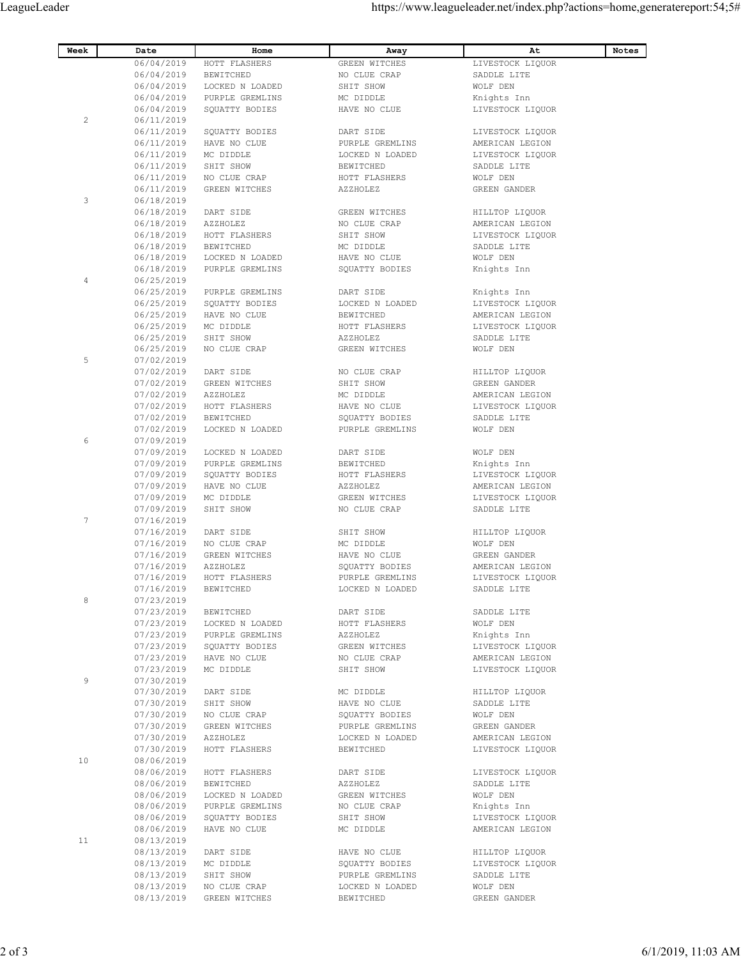| Week            | Date<br>06/04/2019       | Home<br>HOTT FLASHERS              | Away<br>GREEN WITCHES              | At<br>LIVESTOCK LIQUOR              | Notes |
|-----------------|--------------------------|------------------------------------|------------------------------------|-------------------------------------|-------|
|                 | 06/04/2019<br>06/04/2019 | BEWITCHED<br>LOCKED N LOADED       | NO CLUE CRAP<br>SHIT SHOW          | SADDLE LITE<br>WOLF DEN             |       |
|                 | 06/04/2019<br>06/04/2019 | PURPLE GREMLINS<br>SQUATTY BODIES  | MC DIDDLE<br>HAVE NO CLUE          | Knights Inn<br>LIVESTOCK LIQUOR     |       |
| $\overline{2}$  | 06/11/2019<br>06/11/2019 | SQUATTY BODIES                     | DART SIDE                          | LIVESTOCK LIQUOR                    |       |
|                 | 06/11/2019<br>06/11/2019 | HAVE NO CLUE<br>MC DIDDLE          | PURPLE GREMLINS<br>LOCKED N LOADED | AMERICAN LEGION<br>LIVESTOCK LIQUOR |       |
|                 | 06/11/2019               | SHIT SHOW                          | BEWITCHED                          | SADDLE LITE                         |       |
|                 | 06/11/2019<br>06/11/2019 | NO CLUE CRAP<br>GREEN WITCHES      | HOTT FLASHERS<br>AZZHOLEZ          | WOLF DEN<br>GREEN GANDER            |       |
| 3               | 06/18/2019<br>06/18/2019 | DART SIDE                          | GREEN WITCHES                      | HILLTOP LIQUOR                      |       |
|                 | 06/18/2019<br>06/18/2019 | AZZHOLEZ<br>HOTT FLASHERS          | NO CLUE CRAP<br>SHIT SHOW          | AMERICAN LEGION<br>LIVESTOCK LIQUOR |       |
|                 | 06/18/2019<br>06/18/2019 | BEWITCHED<br>LOCKED N LOADED       | MC DIDDLE<br>HAVE NO CLUE          | SADDLE LITE<br>WOLF DEN             |       |
| 4               | 06/18/2019<br>06/25/2019 | PURPLE GREMLINS                    | SQUATTY BODIES                     | Knights Inn                         |       |
|                 | 06/25/2019<br>06/25/2019 | PURPLE GREMLINS<br>SQUATTY BODIES  | DART SIDE<br>LOCKED N LOADED       | Knights Inn<br>LIVESTOCK LIQUOR     |       |
|                 | 06/25/2019<br>06/25/2019 | HAVE NO CLUE<br>MC DIDDLE          | BEWITCHED<br>HOTT FLASHERS         | AMERICAN LEGION<br>LIVESTOCK LIQUOR |       |
|                 | 06/25/2019<br>06/25/2019 | SHIT SHOW<br>NO CLUE CRAP          | AZZHOLEZ<br>GREEN WITCHES          | SADDLE LITE<br>WOLF DEN             |       |
| 5               | 07/02/2019               |                                    |                                    |                                     |       |
|                 | 07/02/2019<br>07/02/2019 | DART SIDE<br>GREEN WITCHES         | NO CLUE CRAP<br>SHIT SHOW          | HILLTOP LIQUOR<br>GREEN GANDER      |       |
|                 | 07/02/2019<br>07/02/2019 | AZZHOLEZ<br>HOTT FLASHERS          | MC DIDDLE<br>HAVE NO CLUE          | AMERICAN LEGION<br>LIVESTOCK LIQUOR |       |
|                 | 07/02/2019<br>07/02/2019 | BEWITCHED<br>LOCKED N LOADED       | SQUATTY BODIES<br>PURPLE GREMLINS  | SADDLE LITE<br>WOLF DEN             |       |
| 6               | 07/09/2019<br>07/09/2019 | LOCKED N LOADED                    | DART SIDE                          | WOLF DEN                            |       |
|                 | 07/09/2019<br>07/09/2019 | PURPLE GREMLINS<br>SQUATTY BODIES  | BEWITCHED<br>HOTT FLASHERS         | Knights Inn<br>LIVESTOCK LIQUOR     |       |
|                 | 07/09/2019               | HAVE NO CLUE                       | AZZHOLEZ                           | AMERICAN LEGION                     |       |
|                 | 07/09/2019<br>07/09/2019 | MC DIDDLE<br>SHIT SHOW             | GREEN WITCHES<br>NO CLUE CRAP      | LIVESTOCK LIQUOR<br>SADDLE LITE     |       |
| $7\phantom{.0}$ | 07/16/2019<br>07/16/2019 | DART SIDE                          | SHIT SHOW                          | HILLTOP LIQUOR                      |       |
|                 | 07/16/2019<br>07/16/2019 | NO CLUE CRAP<br>GREEN WITCHES      | MC DIDDLE<br>HAVE NO CLUE          | WOLF DEN<br>GREEN GANDER            |       |
|                 | 07/16/2019<br>07/16/2019 | AZZHOLEZ<br>HOTT FLASHERS          | SQUATTY BODIES<br>PURPLE GREMLINS  | AMERICAN LEGION<br>LIVESTOCK LIQUOR |       |
| 8               | 07/16/2019<br>07/23/2019 | BEWITCHED                          | LOCKED N LOADED                    | SADDLE LITE                         |       |
|                 | 07/23/2019<br>07/23/2019 | BEWITCHED<br>LOCKED N LOADED       | DART SIDE                          | SADDLE LITE<br>WOLF DEN             |       |
|                 | 07/23/2019               | PURPLE GREMLINS                    | HOTT FLASHERS<br>AZZHOLEZ          | Knights Inn                         |       |
|                 | 07/23/2019<br>07/23/2019 | SQUATTY BODIES<br>HAVE NO CLUE     | GREEN WITCHES<br>NO CLUE CRAP      | LIVESTOCK LIQUOR<br>AMERICAN LEGION |       |
| 9               | 07/23/2019<br>07/30/2019 | MC DIDDLE                          | SHIT SHOW                          | LIVESTOCK LIQUOR                    |       |
|                 | 07/30/2019<br>07/30/2019 | DART SIDE<br>SHIT SHOW             | MC DIDDLE<br>HAVE NO CLUE          | HILLTOP LIQUOR<br>SADDLE LITE       |       |
|                 | 07/30/2019<br>07/30/2019 | NO CLUE CRAP<br>GREEN WITCHES      | SQUATTY BODIES<br>PURPLE GREMLINS  | WOLF DEN<br>GREEN GANDER            |       |
|                 | 07/30/2019<br>07/30/2019 | AZZHOLEZ<br>HOTT FLASHERS          | LOCKED N LOADED<br>BEWITCHED       | AMERICAN LEGION<br>LIVESTOCK LIQUOR |       |
| 10 <sub>1</sub> | 08/06/2019               |                                    |                                    |                                     |       |
|                 | 08/06/2019<br>08/06/2019 | HOTT FLASHERS<br>BEWITCHED         | DART SIDE<br>AZZHOLEZ              | LIVESTOCK LIQUOR<br>SADDLE LITE     |       |
|                 | 08/06/2019<br>08/06/2019 | LOCKED N LOADED<br>PURPLE GREMLINS | GREEN WITCHES<br>NO CLUE CRAP      | WOLF DEN<br>Knights Inn             |       |
|                 | 08/06/2019<br>08/06/2019 | SQUATTY BODIES<br>HAVE NO CLUE     | SHIT SHOW<br>MC DIDDLE             | LIVESTOCK LIQUOR<br>AMERICAN LEGION |       |
| 11              | 08/13/2019<br>08/13/2019 | DART SIDE                          | HAVE NO CLUE                       | HILLTOP LIQUOR                      |       |
|                 | 08/13/2019<br>08/13/2019 | MC DIDDLE<br>SHIT SHOW             | SQUATTY BODIES<br>PURPLE GREMLINS  | LIVESTOCK LIQUOR<br>SADDLE LITE     |       |
|                 | 08/13/2019               | NO CLUE CRAP                       | LOCKED N LOADED                    | WOLF DEN                            |       |
|                 | 08/13/2019               | GREEN WITCHES                      | BEWITCHED                          | GREEN GANDER                        |       |